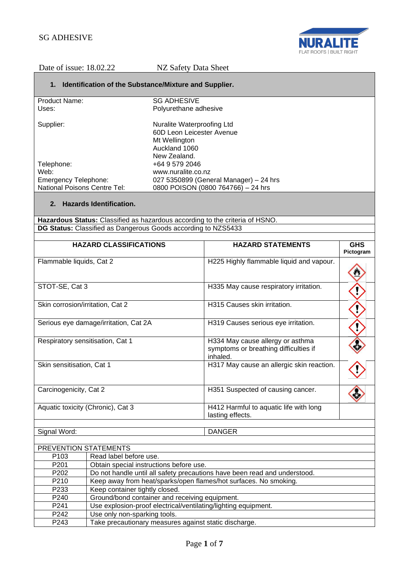

## **1. Identification of the Substance/Mixture and Supplier.**

| Product Name:                       | <b>SG ADHESIVE</b>                     |
|-------------------------------------|----------------------------------------|
| Uses:                               | Polyurethane adhesive                  |
| Supplier:                           | Nuralite Waterproofing Ltd             |
|                                     | 60D Leon Leicester Avenue              |
|                                     | Mt Wellington                          |
|                                     | Auckland 1060                          |
|                                     | New Zealand.                           |
| Telephone:                          | +64 9 579 2046                         |
| Web:                                | www.nuralite.co.nz                     |
| <b>Emergency Telephone:</b>         | 027 5350899 (General Manager) - 24 hrs |
| <b>National Poisons Centre Tel:</b> | 0800 POISON (0800 764766) - 24 hrs     |

## **2. Hazards Identification.**

**Hazardous Status:** Classified as hazardous according to the criteria of HSNO. **DG Status:** Classified as Dangerous Goods according to NZS5433

|                                   | <b>HAZARD CLASSIFICATIONS</b>                                             | <b>HAZARD STATEMENTS</b>                                                              | <b>GHS</b><br>Pictogram |
|-----------------------------------|---------------------------------------------------------------------------|---------------------------------------------------------------------------------------|-------------------------|
| Flammable liquids, Cat 2          |                                                                           | H225 Highly flammable liquid and vapour.                                              |                         |
| STOT-SE, Cat 3                    |                                                                           | H335 May cause respiratory irritation.                                                |                         |
| Skin corrosion/irritation, Cat 2  |                                                                           | H315 Causes skin irritation.                                                          |                         |
|                                   | Serious eye damage/irritation, Cat 2A                                     | H319 Causes serious eye irritation.                                                   |                         |
| Respiratory sensitisation, Cat 1  |                                                                           | H334 May cause allergy or asthma<br>symptoms or breathing difficulties if<br>inhaled. |                         |
| Skin sensitisation, Cat 1         |                                                                           | H317 May cause an allergic skin reaction.                                             |                         |
| Carcinogenicity, Cat 2            |                                                                           | H351 Suspected of causing cancer.                                                     |                         |
| Aquatic toxicity (Chronic), Cat 3 |                                                                           | H412 Harmful to aquatic life with long<br>lasting effects.                            |                         |
| Signal Word:                      |                                                                           | <b>DANGER</b>                                                                         |                         |
|                                   |                                                                           |                                                                                       |                         |
| PREVENTION STATEMENTS             |                                                                           |                                                                                       |                         |
| P103                              | Read label before use.                                                    |                                                                                       |                         |
| P201                              | Obtain special instructions before use.                                   |                                                                                       |                         |
| P202                              | Do not handle until all safety precautions have been read and understood. |                                                                                       |                         |
| P210                              | Keep away from heat/sparks/open flames/hot surfaces. No smoking.          |                                                                                       |                         |
| P233                              | Keep container tightly closed.                                            |                                                                                       |                         |
| P240                              | Ground/bond container and receiving equipment.                            |                                                                                       |                         |
| P241                              | Use explosion-proof electrical/ventilating/lighting equipment.            |                                                                                       |                         |
| P242                              | Use only non-sparking tools.                                              |                                                                                       |                         |
| P243                              | Take precautionary measures against static discharge.                     |                                                                                       |                         |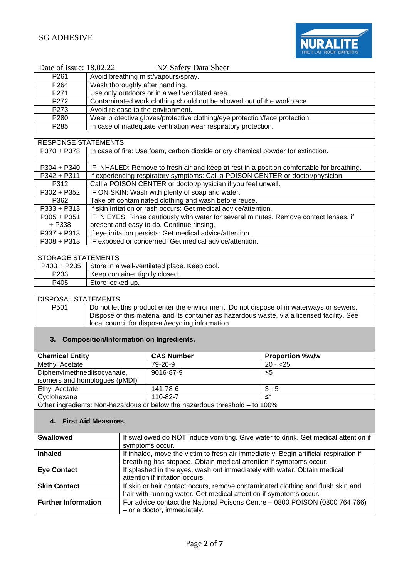

| Date of issue: 18.02.22    | NZ Safety Data Sheet                                                                      |  |
|----------------------------|-------------------------------------------------------------------------------------------|--|
| P <sub>261</sub>           | Avoid breathing mist/vapours/spray.                                                       |  |
| P <sub>264</sub>           | Wash thoroughly after handling.                                                           |  |
| P <sub>271</sub>           | Use only outdoors or in a well ventilated area.                                           |  |
| P272                       | Contaminated work clothing should not be allowed out of the workplace.                    |  |
| P273                       | Avoid release to the environment.                                                         |  |
| P <sub>280</sub>           | Wear protective gloves/protective clothing/eye protection/face protection.                |  |
| P <sub>285</sub>           | In case of inadequate ventilation wear respiratory protection.                            |  |
|                            |                                                                                           |  |
| <b>RESPONSE STATEMENTS</b> |                                                                                           |  |
| P370 + P378                | In case of fire: Use foam, carbon dioxide or dry chemical powder for extinction.          |  |
|                            |                                                                                           |  |
| P304 + P340                | IF INHALED: Remove to fresh air and keep at rest in a position comfortable for breathing. |  |
| P342 + P311                | If experiencing respiratory symptoms: Call a POISON CENTER or doctor/physician.           |  |
| P312                       | Call a POISON CENTER or doctor/physician if you feel unwell.                              |  |
| $P302 + P352$              | IF ON SKIN: Wash with plenty of soap and water.                                           |  |
| P362                       | Take off contaminated clothing and wash before reuse.                                     |  |
| P333 + P313                | If skin irritation or rash occurs: Get medical advice/attention.                          |  |
| $P305 + P351$              | IF IN EYES: Rinse cautiously with water for several minutes. Remove contact lenses, if    |  |
| + P338                     | present and easy to do. Continue rinsing.                                                 |  |
| P337 + P313                | If eye irritation persists: Get medical advice/attention.                                 |  |
| $P308 + P313$              | IF exposed or concerned: Get medical advice/attention.                                    |  |
|                            |                                                                                           |  |
| <b>STORAGE STATEMENTS</b>  |                                                                                           |  |
|                            | P403 + P235   Store in a well-ventilated place. Keep cool.                                |  |

| P403 + P235 | Store in a well-ventilated place. Keep cool. |
|-------------|----------------------------------------------|
| P233        | Keep container tightly closed.               |
| P405        | Store locked up.                             |
|             |                                              |

DISPOSAL STATEMENTS

P501 Do not let this product enter the environment. Do not dispose of in waterways or sewers. Dispose of this material and its container as hazardous waste, via a licensed facility. See local council for disposal/recycling information.

### **3. Composition/Information on Ingredients.**

| <b>Chemical Entity</b>                                                         | <b>CAS Number</b> | <b>Proportion %w/w</b> |
|--------------------------------------------------------------------------------|-------------------|------------------------|
| Methyl Acetate                                                                 | 79-20-9           | $20 - 25$              |
| Diphenylmethnediisocyanate,                                                    | 9016-87-9         | ≤5                     |
| isomers and homologues (pMDI)                                                  |                   |                        |
| Ethyl Acetate                                                                  | 141-78-6          | $3 - 5$                |
| Cyclohexane                                                                    | 110-82-7          | ≤1                     |
| Other ingredients: Nep hazardous or below the hazardous threshold<br>$+0.1000$ |                   |                        |

<u> Other ingredients: Non-hazardous or below the hazardous threshold – to 100%</u>

## **4. First Aid Measures.**

| <b>Swallowed</b>           | If swallowed do NOT induce vomiting. Give water to drink. Get medical attention if    |
|----------------------------|---------------------------------------------------------------------------------------|
|                            | symptoms occur.                                                                       |
| <b>Inhaled</b>             | If inhaled, move the victim to fresh air immediately. Begin artificial respiration if |
|                            | breathing has stopped. Obtain medical attention if symptoms occur.                    |
| <b>Eye Contact</b>         | If splashed in the eyes, wash out immediately with water. Obtain medical              |
|                            | attention if irritation occurs.                                                       |
| <b>Skin Contact</b>        | If skin or hair contact occurs, remove contaminated clothing and flush skin and       |
|                            | hair with running water. Get medical attention if symptoms occur.                     |
| <b>Further Information</b> | For advice contact the National Poisons Centre - 0800 POISON (0800 764 766)           |
|                            | - or a doctor, immediately.                                                           |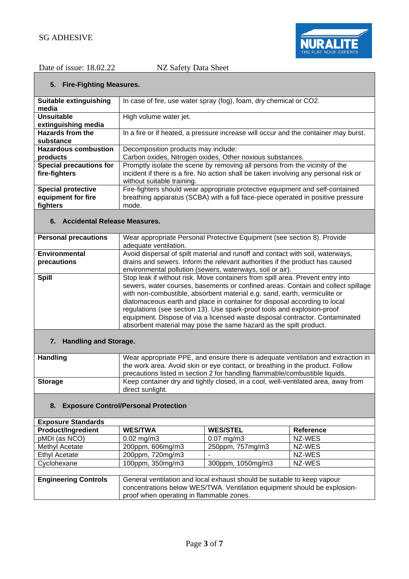

## **5. Fire-Fighting Measures.**

| Suitable extinguishing         | In case of fire, use water spray (fog), foam, dry chemical or CO2.                   |
|--------------------------------|--------------------------------------------------------------------------------------|
| media                          |                                                                                      |
| Unsuitable                     | High volume water jet.                                                               |
| extinguishing media            |                                                                                      |
| <b>Hazards from the</b>        | In a fire or if heated, a pressure increase will occur and the container may burst.  |
| substance                      |                                                                                      |
| <b>Hazardous combustion</b>    | Decomposition products may include:                                                  |
| products                       | Carbon oxides, Nitrogen oxides, Other noxious substances.                            |
| <b>Special precautions for</b> | Promptly isolate the scene by removing all persons from the vicinity of the          |
| fire-fighters                  | incident if there is a fire. No action shall be taken involving any personal risk or |
|                                | without suitable training.                                                           |
| <b>Special protective</b>      | Fire-fighters should wear appropriate protective equipment and self-contained        |
| equipment for fire             | breathing apparatus (SCBA) with a full face-piece operated in positive pressure      |
| fighters                       | mode.                                                                                |

## **6. Accidental Release Measures.**

| <b>Personal precautions</b> | Wear appropriate Personal Protective Equipment (see section 8). Provide                                                                                   |
|-----------------------------|-----------------------------------------------------------------------------------------------------------------------------------------------------------|
|                             | adequate ventilation.                                                                                                                                     |
| <b>Environmental</b>        | Avoid dispersal of spilt material and runoff and contact with soil, waterways,                                                                            |
| precautions                 | drains and sewers. Inform the relevant authorities if the product has caused                                                                              |
|                             | environmental pollution (sewers, waterways, soil or air).                                                                                                 |
| <b>Spill</b>                | Stop leak if without risk. Move containers from spill area. Prevent entry into                                                                            |
|                             | sewers, water courses, basements or confined areas. Contain and collect spillage                                                                          |
|                             |                                                                                                                                                           |
|                             | diatomaceous earth and place in container for disposal according to local                                                                                 |
|                             | regulations (see section 13). Use spark-proof tools and explosion-proof                                                                                   |
|                             |                                                                                                                                                           |
|                             | absorbent material may pose the same hazard as the spilt product.                                                                                         |
|                             | with non-combustible, absorbent material e.g. sand, earth, vermiculite or<br>equipment. Dispose of via a licensed waste disposal contractor. Contaminated |

## **7. Handling and Storage.**

| <b>Handling</b> | Wear appropriate PPE, and ensure there is adequate ventilation and extraction in<br>the work area. Avoid skin or eye contact, or breathing in the product. Follow<br>precautions listed in section 2 for handling flammable/combustible liquids. |
|-----------------|--------------------------------------------------------------------------------------------------------------------------------------------------------------------------------------------------------------------------------------------------|
| <b>Storage</b>  | Keep container dry and tightly closed, in a cool, well-ventilated area, away from<br>direct sunlight.                                                                                                                                            |

## **8. Exposure Control/Personal Protection**

| <b>Exposure Standards</b>   |                                                                          |                   |                  |
|-----------------------------|--------------------------------------------------------------------------|-------------------|------------------|
| <b>Product/Ingredient</b>   | <b>WES/TWA</b>                                                           | <b>WES/STEL</b>   | <b>Reference</b> |
| pMDI (as NCO)               | $0.02 \text{ mg/m}$ 3                                                    | $0.07$ mg/m $3$   | NZ-WES           |
| Methyl Acetate              | 200ppm, 606mg/m3                                                         | 250ppm, 757mg/m3  | NZ-WES           |
| <b>Ethyl Acetate</b>        | 200ppm, 720mg/m3                                                         |                   | NZ-WES           |
| Cyclohexane                 | 100ppm, 350mg/m3                                                         | 300ppm, 1050mg/m3 | NZ-WES           |
|                             |                                                                          |                   |                  |
| <b>Engineering Controls</b> | General ventilation and local exhaust should be suitable to keep vapour  |                   |                  |
|                             | concentrations below WES/TWA. Ventilation equipment should be explosion- |                   |                  |
|                             | proof when operating in flammable zones.                                 |                   |                  |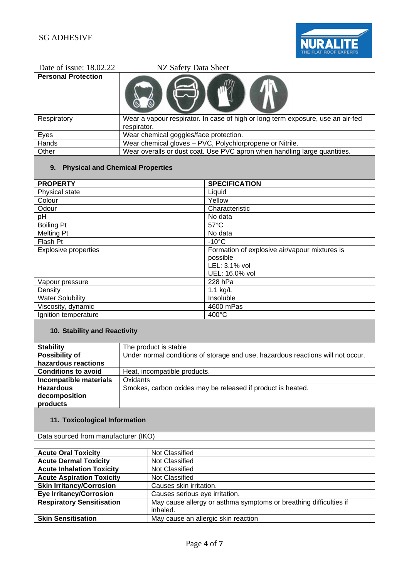

| Date of issue: $18.02.22$  | NZ Safety Data Sheet                                                                           |
|----------------------------|------------------------------------------------------------------------------------------------|
| <b>Personal Protection</b> |                                                                                                |
| Respiratory                | Wear a vapour respirator. In case of high or long term exposure, use an air-fed<br>respirator. |
| Eyes                       | Wear chemical goggles/face protection.                                                         |
| Hands                      | Wear chemical gloves - PVC, Polychlorpropene or Nitrile.                                       |
| Other                      | Wear overalls or dust coat. Use PVC apron when handling large quantities.                      |

# **9. Physical and Chemical Properties**

| <b>PROPERTY</b>             | <b>SPECIFICATION</b>                          |
|-----------------------------|-----------------------------------------------|
| Physical state              | Liquid                                        |
| Colour                      | Yellow                                        |
| Odour                       | Characteristic                                |
| pH                          | No data                                       |
| <b>Boiling Pt</b>           | $57^{\circ}$ C                                |
| <b>Melting Pt</b>           | No data                                       |
| Flash Pt                    | $-10^{\circ}$ C                               |
| <b>Explosive properties</b> | Formation of explosive air/vapour mixtures is |
|                             | possible                                      |
|                             | LEL: 3.1% vol                                 |
|                             | UEL: 16.0% vol                                |
| Vapour pressure             | 228 hPa                                       |
| Density                     | 1.1 kg/L                                      |
| <b>Water Solubility</b>     | Insoluble                                     |
| Viscosity, dynamic          | 4600 mPas                                     |
| Ignition temperature        | $400^{\circ}$ C                               |

# **10. Stability and Reactivity**

| <b>Stability</b>           | The product is stable                                                           |
|----------------------------|---------------------------------------------------------------------------------|
| <b>Possibility of</b>      | Under normal conditions of storage and use, hazardous reactions will not occur. |
| hazardous reactions        |                                                                                 |
| <b>Conditions to avoid</b> | Heat, incompatible products.                                                    |
| Incompatible materials     | Oxidants                                                                        |
| <b>Hazardous</b>           | Smokes, carbon oxides may be released if product is heated.                     |
| decomposition              |                                                                                 |
| products                   |                                                                                 |
|                            |                                                                                 |

# **11. Toxicological Information**

Data sourced from manufacturer (IKO)

| <b>Acute Oral Toxicity</b>       | Not Classified                                                    |
|----------------------------------|-------------------------------------------------------------------|
| <b>Acute Dermal Toxicity</b>     | Not Classified                                                    |
| <b>Acute Inhalation Toxicity</b> | Not Classified                                                    |
| <b>Acute Aspiration Toxicity</b> | Not Classified                                                    |
| <b>Skin Irritancy/Corrosion</b>  | Causes skin irritation.                                           |
| <b>Eye Irritancy/Corrosion</b>   | Causes serious eye irritation.                                    |
| <b>Respiratory Sensitisation</b> | May cause allergy or asthma symptoms or breathing difficulties if |
|                                  | inhaled.                                                          |
| <b>Skin Sensitisation</b>        | May cause an allergic skin reaction                               |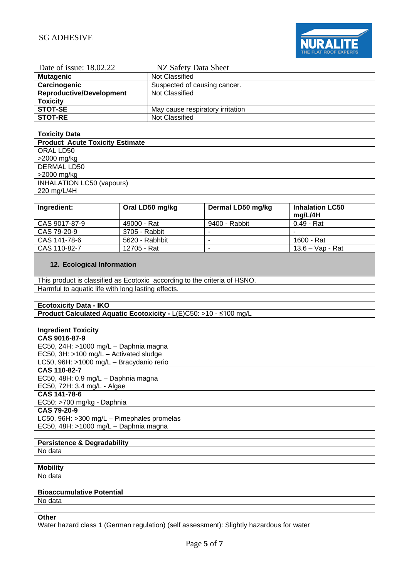

| Date of issue: 18.02.22                                                                  | NZ Safety Data Sheet             |                                  |                        |  |
|------------------------------------------------------------------------------------------|----------------------------------|----------------------------------|------------------------|--|
| <b>Mutagenic</b>                                                                         | Not Classified                   |                                  |                        |  |
| Carcinogenic                                                                             |                                  | Suspected of causing cancer.     |                        |  |
| <b>Reproductive/Development</b>                                                          | Not Classified                   |                                  |                        |  |
| <b>Toxicity</b>                                                                          |                                  |                                  |                        |  |
| <b>STOT-SE</b>                                                                           | May cause respiratory irritation |                                  |                        |  |
| <b>STOT-RE</b>                                                                           | Not Classified                   |                                  |                        |  |
|                                                                                          |                                  |                                  |                        |  |
| <b>Toxicity Data</b>                                                                     |                                  |                                  |                        |  |
| <b>Product Acute Toxicity Estimate</b>                                                   |                                  |                                  |                        |  |
| ORAL LD50                                                                                |                                  |                                  |                        |  |
| >2000 mg/kg                                                                              |                                  |                                  |                        |  |
| <b>DERMAL LD50</b>                                                                       |                                  |                                  |                        |  |
| >2000 mg/kg                                                                              |                                  |                                  |                        |  |
| <b>INHALATION LC50 (vapours)</b>                                                         |                                  |                                  |                        |  |
| 220 mg/L/4H                                                                              |                                  |                                  |                        |  |
|                                                                                          |                                  |                                  |                        |  |
| Ingredient:                                                                              | Oral LD50 mg/kg                  | Dermal LD50 mg/kg                | <b>Inhalation LC50</b> |  |
|                                                                                          |                                  |                                  | mg/L/4H                |  |
| CAS 9017-87-9                                                                            | 49000 - Rat<br>3705 - Rabbit     | 9400 - Rabbit                    | $0.49 - Rat$<br>$\sim$ |  |
| CAS 79-20-9<br>CAS 141-78-6                                                              | 5620 - Rabhbit                   | $\blacksquare$<br>$\blacksquare$ | 1600 - Rat             |  |
| CAS 110-82-7                                                                             | 12705 - Rat                      | $\blacksquare$                   | 13.6 - Vap - Rat       |  |
|                                                                                          |                                  |                                  |                        |  |
| 12. Ecological Information                                                               |                                  |                                  |                        |  |
|                                                                                          |                                  |                                  |                        |  |
| This product is classified as Ecotoxic according to the criteria of HSNO.                |                                  |                                  |                        |  |
| Harmful to aquatic life with long lasting effects.                                       |                                  |                                  |                        |  |
|                                                                                          |                                  |                                  |                        |  |
| <b>Ecotoxicity Data - IKO</b>                                                            |                                  |                                  |                        |  |
| Product Calculated Aquatic Ecotoxicity - L(E)C50: >10 - ≤100 mg/L                        |                                  |                                  |                        |  |
|                                                                                          |                                  |                                  |                        |  |
| <b>Ingredient Toxicity</b>                                                               |                                  |                                  |                        |  |
| CAS 9016-87-9                                                                            |                                  |                                  |                        |  |
| EC50, 24H: >1000 mg/L - Daphnia magna                                                    |                                  |                                  |                        |  |
| EC50, 3H: >100 mg/L - Activated sludge                                                   |                                  |                                  |                        |  |
| LC50, 96H: >1000 mg/L - Bracydanio rerio                                                 |                                  |                                  |                        |  |
| CAS 110-82-7                                                                             |                                  |                                  |                        |  |
| EC50, 48H: 0.9 mg/L - Daphnia magna                                                      |                                  |                                  |                        |  |
| EC50, 72H: 3.4 mg/L - Algae                                                              |                                  |                                  |                        |  |
| CAS 141-78-6                                                                             |                                  |                                  |                        |  |
| EC50: >700 mg/kg - Daphnia                                                               |                                  |                                  |                        |  |
| <b>CAS 79-20-9</b><br>LC50, 96H: >300 mg/L - Pimephales promelas                         |                                  |                                  |                        |  |
|                                                                                          |                                  |                                  |                        |  |
| EC50, 48H: >1000 mg/L - Daphnia magna                                                    |                                  |                                  |                        |  |
| <b>Persistence &amp; Degradability</b>                                                   |                                  |                                  |                        |  |
| No data                                                                                  |                                  |                                  |                        |  |
|                                                                                          |                                  |                                  |                        |  |
| <b>Mobility</b>                                                                          |                                  |                                  |                        |  |
| No data                                                                                  |                                  |                                  |                        |  |
|                                                                                          |                                  |                                  |                        |  |
| <b>Bioaccumulative Potential</b>                                                         |                                  |                                  |                        |  |
| No data                                                                                  |                                  |                                  |                        |  |
|                                                                                          |                                  |                                  |                        |  |
| <b>Other</b>                                                                             |                                  |                                  |                        |  |
| Water hazard class 1 (German regulation) (self assessment): Slightly hazardous for water |                                  |                                  |                        |  |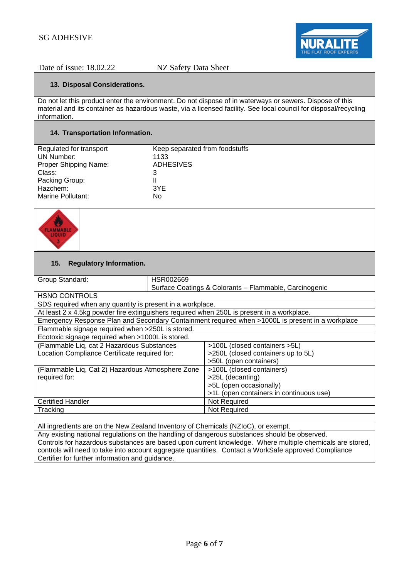

## **13. Disposal Considerations.**

Do not let this product enter the environment. Do not dispose of in waterways or sewers. Dispose of this material and its container as hazardous waste, via a licensed facility. See local council for disposal/recycling information.

## **14. Transportation Information.**

| Regulated for transport | Keep separated from foodstuffs |
|-------------------------|--------------------------------|
| UN Number:              | 1133                           |
| Proper Shipping Name:   | <b>ADHESIVES</b>               |
| Class:                  | 3                              |
| Packing Group:          | Ш                              |
| Hazchem:                | 3YE                            |
| Marine Pollutant:       | No                             |
|                         |                                |



## **15. Regulatory Information.**

| Group Standard:                                                                                  | HSR002669 |                                                        |  |  |
|--------------------------------------------------------------------------------------------------|-----------|--------------------------------------------------------|--|--|
|                                                                                                  |           | Surface Coatings & Colorants - Flammable, Carcinogenic |  |  |
| <b>HSNO CONTROLS</b>                                                                             |           |                                                        |  |  |
| SDS required when any quantity is present in a workplace.                                        |           |                                                        |  |  |
| At least 2 x 4.5kg powder fire extinguishers required when 250L is present in a workplace.       |           |                                                        |  |  |
| Emergency Response Plan and Secondary Containment required when >1000L is present in a workplace |           |                                                        |  |  |
| Flammable signage required when >250L is stored.                                                 |           |                                                        |  |  |
| Ecotoxic signage required when >1000L is stored.                                                 |           |                                                        |  |  |
| (Flammable Liq, cat 2 Hazardous Substances                                                       |           | >100L (closed containers >5L)                          |  |  |
| Location Compliance Certificate required for:                                                    |           | >250L (closed containers up to 5L)                     |  |  |
|                                                                                                  |           | >50L (open containers)                                 |  |  |
| (Flammable Liq, Cat 2) Hazardous Atmosphere Zone                                                 |           | >100L (closed containers)                              |  |  |
| required for:                                                                                    |           | >25L (decanting)                                       |  |  |
|                                                                                                  |           | >5L (open occasionally)                                |  |  |
|                                                                                                  |           | >1L (open containers in continuous use)                |  |  |
| <b>Certified Handler</b>                                                                         |           | Not Required                                           |  |  |
| Tracking                                                                                         |           | Not Required                                           |  |  |
|                                                                                                  |           |                                                        |  |  |
| All ingredients are on the New Zealand Inventory of Chemicals (NZIoC), or exempt.                |           |                                                        |  |  |

Any existing national regulations on the handling of dangerous substances should be observed. Controls for hazardous substances are based upon current knowledge. Where multiple chemicals are stored, controls will need to take into account aggregate quantities. Contact a WorkSafe approved Compliance Certifier for further information and guidance.